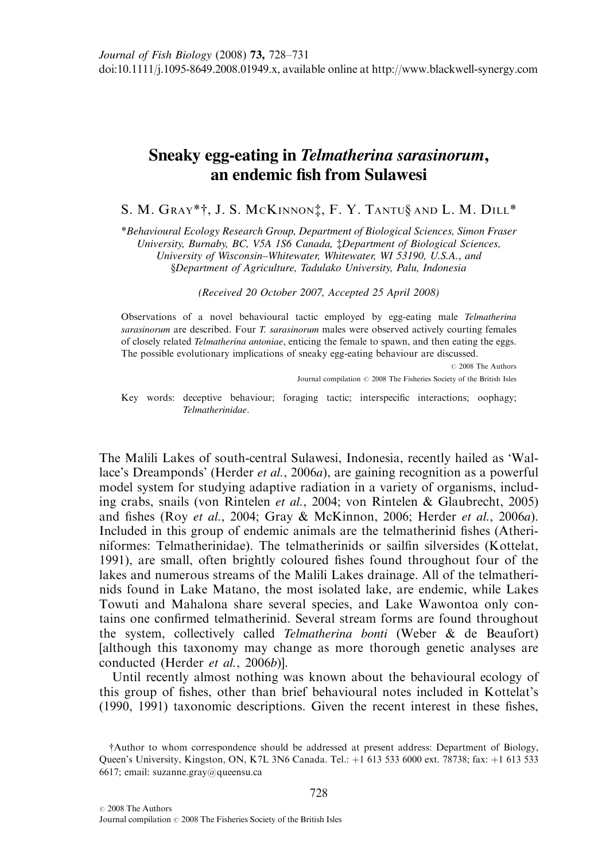## Sneaky egg-eating in Telmatherina sarasinorum, an endemic fish from Sulawesi

S. M. GRAY\*†, J. S. MCKINNON‡, F. Y. TANTU§ AND L. M. DILL\*

\*Behavioural Ecology Research Group, Department of Biological Sciences, Simon Fraser University, Burnaby, BC, V5A 1S6 Canada, ‡Department of Biological Sciences, University of Wisconsin–Whitewater, Whitewater, WI 53190, U.S.A., and §Department of Agriculture, Tadulako University, Palu, Indonesia

(Received 20 October 2007, Accepted 25 April 2008)

Observations of a novel behavioural tactic employed by egg-eating male Telmatherina sarasinorum are described. Four T. sarasinorum males were observed actively courting females of closely related Telmatherina antoniae, enticing the female to spawn, and then eating the eggs. The possible evolutionary implications of sneaky egg-eating behaviour are discussed.

> $\oslash$  2008 The Authors Journal compilation  $\oslash$  2008 The Fisheries Society of the British Isles

Key words: deceptive behaviour; foraging tactic; interspecific interactions; oophagy; Telmatherinidae.

The Malili Lakes of south-central Sulawesi, Indonesia, recently hailed as 'Wallace's Dreamponds' (Herder *et al.*, 2006*a*), are gaining recognition as a powerful model system for studying adaptive radiation in a variety of organisms, including crabs, snails (von Rintelen et al., 2004; von Rintelen & Glaubrecht, 2005) and fishes (Roy et al., 2004; Gray & McKinnon, 2006; Herder et al., 2006a). Included in this group of endemic animals are the telmatherinid fishes (Atheriniformes: Telmatherinidae). The telmatherinids or sailfin silversides (Kottelat, 1991), are small, often brightly coloured fishes found throughout four of the lakes and numerous streams of the Malili Lakes drainage. All of the telmatherinids found in Lake Matano, the most isolated lake, are endemic, while Lakes Towuti and Mahalona share several species, and Lake Wawontoa only contains one confirmed telmatherinid. Several stream forms are found throughout the system, collectively called Telmatherina bonti (Weber & de Beaufort) [although this taxonomy may change as more thorough genetic analyses are conducted (Herder et al., 2006b)].

Until recently almost nothing was known about the behavioural ecology of this group of fishes, other than brief behavioural notes included in Kottelat's (1990, 1991) taxonomic descriptions. Given the recent interest in these fishes,

<sup>†</sup>Author to whom correspondence should be addressed at present address: Department of Biology, Queen's University, Kingston, ON, K7L 3N6 Canada. Tel.: +1 613 533 6000 ext. 78738; fax: +1 613 533 6617; email: suzanne.gray@queensu.ca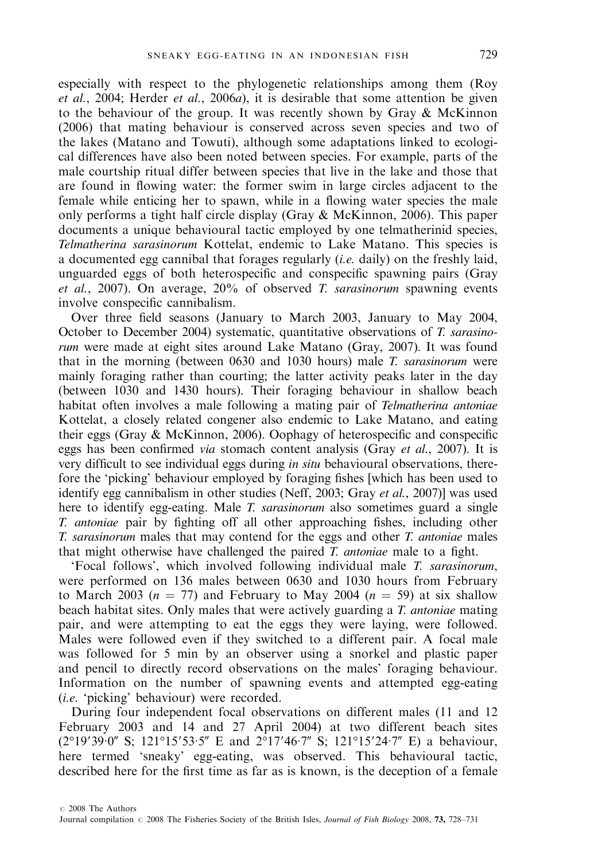especially with respect to the phylogenetic relationships among them (Roy et al., 2004; Herder et al., 2006a), it is desirable that some attention be given to the behaviour of the group. It was recently shown by Gray & McKinnon (2006) that mating behaviour is conserved across seven species and two of the lakes (Matano and Towuti), although some adaptations linked to ecological differences have also been noted between species. For example, parts of the male courtship ritual differ between species that live in the lake and those that are found in flowing water: the former swim in large circles adjacent to the female while enticing her to spawn, while in a flowing water species the male only performs a tight half circle display (Gray & McKinnon, 2006). This paper documents a unique behavioural tactic employed by one telmatherinid species, Telmatherina sarasinorum Kottelat, endemic to Lake Matano. This species is a documented egg cannibal that forages regularly (i.e. daily) on the freshly laid, unguarded eggs of both heterospecific and conspecific spawning pairs (Gray et al., 2007). On average,  $20\%$  of observed T. sarasinorum spawning events involve conspecific cannibalism.

Over three field seasons (January to March 2003, January to May 2004, October to December 2004) systematic, quantitative observations of T. sarasinorum were made at eight sites around Lake Matano (Gray, 2007). It was found that in the morning (between 0630 and 1030 hours) male T. sarasinorum were mainly foraging rather than courting; the latter activity peaks later in the day (between 1030 and 1430 hours). Their foraging behaviour in shallow beach habitat often involves a male following a mating pair of *Telmatherina antoniae* Kottelat, a closely related congener also endemic to Lake Matano, and eating their eggs (Gray & McKinnon, 2006). Oophagy of heterospecific and conspecific eggs has been confirmed via stomach content analysis (Gray et al., 2007). It is very difficult to see individual eggs during in situ behavioural observations, therefore the 'picking' behaviour employed by foraging fishes [which has been used to identify egg cannibalism in other studies (Neff, 2003; Gray et al., 2007)] was used here to identify egg-eating. Male *T. sarasinorum* also sometimes guard a single T. antoniae pair by fighting off all other approaching fishes, including other T. sarasinorum males that may contend for the eggs and other T. antoniae males that might otherwise have challenged the paired  $T$ . *antoniae* male to a fight.

'Focal follows', which involved following individual male T. sarasinorum, were performed on 136 males between 0630 and 1030 hours from February to March 2003 ( $n = 77$ ) and February to May 2004 ( $n = 59$ ) at six shallow beach habitat sites. Only males that were actively guarding a T. antoniae mating pair, and were attempting to eat the eggs they were laying, were followed. Males were followed even if they switched to a different pair. A focal male was followed for 5 min by an observer using a snorkel and plastic paper and pencil to directly record observations on the males' foraging behaviour. Information on the number of spawning events and attempted egg-eating (i.e. 'picking' behaviour) were recorded.

During four independent focal observations on different males (11 and 12 February 2003 and 14 and 27 April 2004) at two different beach sites  $(2^{\circ}19'39 \cdot 0''$  S;  $121^{\circ}15'53 \cdot 5''$  E and  $2^{\circ}17'46 \cdot 7''$  S;  $121^{\circ}15'24 \cdot 7''$  E) a behaviour, here termed 'sneaky' egg-eating, was observed. This behavioural tactic, described here for the first time as far as is known, is the deception of a female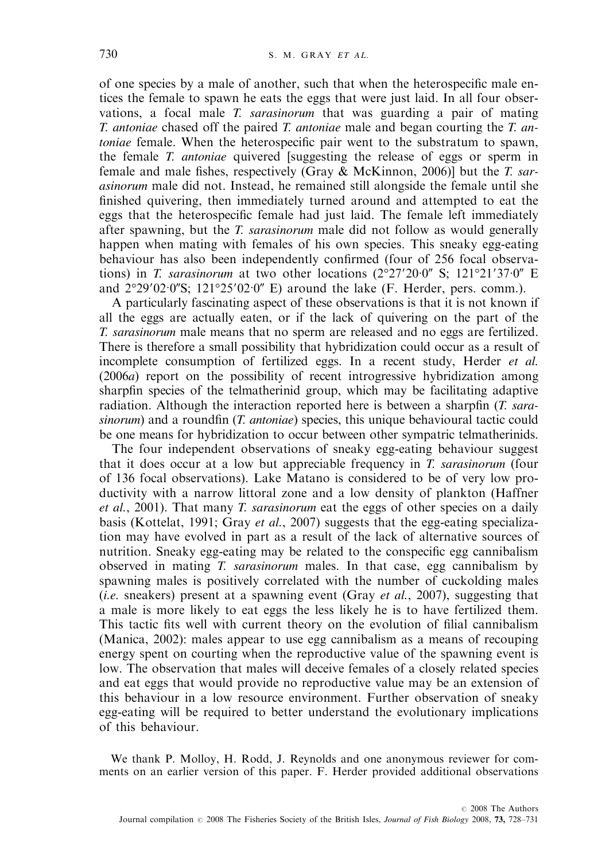of one species by a male of another, such that when the heterospecific male entices the female to spawn he eats the eggs that were just laid. In all four observations, a focal male T. sarasinorum that was guarding a pair of mating T. antoniae chased off the paired T. antoniae male and began courting the T. antoniae female. When the heterospecific pair went to the substratum to spawn, the female T. *antoniae* quivered [suggesting the release of eggs or sperm in female and male fishes, respectively (Gray  $\&$  McKinnon, 2006)] but the *T. sar*asinorum male did not. Instead, he remained still alongside the female until she finished quivering, then immediately turned around and attempted to eat the eggs that the heterospecific female had just laid. The female left immediately after spawning, but the T. sarasinorum male did not follow as would generally happen when mating with females of his own species. This sneaky egg-eating behaviour has also been independently confirmed (four of 256 focal observations) in T. sarasinorum at two other locations  $(2^{\circ}27'20'0'' \text{ S}; 121^{\circ}21'37'0'' \text{ E})$ and  $2^{\circ}29'02 \cdot 0''$ S;  $121^{\circ}25'02 \cdot 0''$  E) around the lake (F. Herder, pers. comm.).

A particularly fascinating aspect of these observations is that it is not known if all the eggs are actually eaten, or if the lack of quivering on the part of the T. sarasinorum male means that no sperm are released and no eggs are fertilized. There is therefore a small possibility that hybridization could occur as a result of incomplete consumption of fertilized eggs. In a recent study, Herder et al. (2006a) report on the possibility of recent introgressive hybridization among sharpfin species of the telmatherinid group, which may be facilitating adaptive radiation. Although the interaction reported here is between a sharpfin (T. sarasinorum) and a roundfin (*T. antoniae*) species, this unique behavioural tactic could be one means for hybridization to occur between other sympatric telmatherinids.

The four independent observations of sneaky egg-eating behaviour suggest that it does occur at a low but appreciable frequency in T. sarasinorum (four of 136 focal observations). Lake Matano is considered to be of very low productivity with a narrow littoral zone and a low density of plankton (Haffner et al., 2001). That many T. sarasinorum eat the eggs of other species on a daily basis (Kottelat, 1991; Gray et al., 2007) suggests that the egg-eating specialization may have evolved in part as a result of the lack of alternative sources of nutrition. Sneaky egg-eating may be related to the conspecific egg cannibalism observed in mating T. sarasinorum males. In that case, egg cannibalism by spawning males is positively correlated with the number of cuckolding males (*i.e.* sneakers) present at a spawning event (Gray *et al.*, 2007), suggesting that a male is more likely to eat eggs the less likely he is to have fertilized them. This tactic fits well with current theory on the evolution of filial cannibalism (Manica, 2002): males appear to use egg cannibalism as a means of recouping energy spent on courting when the reproductive value of the spawning event is low. The observation that males will deceive females of a closely related species and eat eggs that would provide no reproductive value may be an extension of this behaviour in a low resource environment. Further observation of sneaky egg-eating will be required to better understand the evolutionary implications of this behaviour.

We thank P. Molloy, H. Rodd, J. Reynolds and one anonymous reviewer for comments on an earlier version of this paper. F. Herder provided additional observations